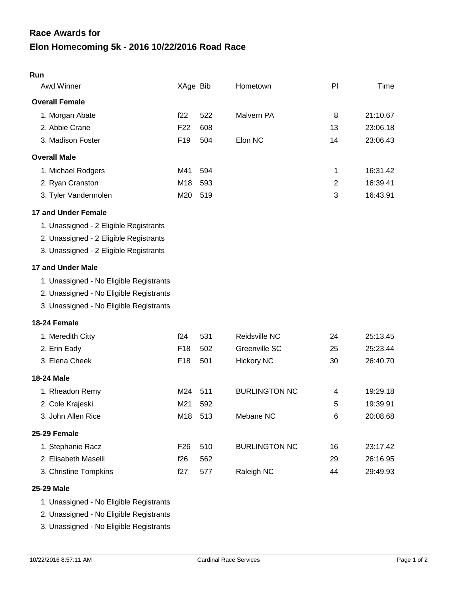## **Elon Homecoming 5k - 2016 10/22/2016 Road Race Race Awards for**

| Run                                     |                 |     |                      |                |          |
|-----------------------------------------|-----------------|-----|----------------------|----------------|----------|
| Awd Winner                              | XAge Bib        |     | Hometown             | PI             | Time     |
| <b>Overall Female</b>                   |                 |     |                      |                |          |
| 1. Morgan Abate                         | f22             | 522 | Malvern PA           | 8              | 21:10.67 |
| 2. Abbie Crane                          | F <sub>22</sub> | 608 |                      | 13             | 23:06.18 |
| 3. Madison Foster                       | F <sub>19</sub> | 504 | Elon NC              | 14             | 23:06.43 |
| <b>Overall Male</b>                     |                 |     |                      |                |          |
| 1. Michael Rodgers                      | M41             | 594 |                      | 1              | 16:31.42 |
| 2. Ryan Cranston                        | M18             | 593 |                      | $\overline{2}$ | 16:39.41 |
| 3. Tyler Vandermolen                    | M20             | 519 |                      | 3              | 16:43.91 |
| 17 and Under Female                     |                 |     |                      |                |          |
| 1. Unassigned - 2 Eligible Registrants  |                 |     |                      |                |          |
| 2. Unassigned - 2 Eligible Registrants  |                 |     |                      |                |          |
| 3. Unassigned - 2 Eligible Registrants  |                 |     |                      |                |          |
| 17 and Under Male                       |                 |     |                      |                |          |
| 1. Unassigned - No Eligible Registrants |                 |     |                      |                |          |
| 2. Unassigned - No Eligible Registrants |                 |     |                      |                |          |
| 3. Unassigned - No Eligible Registrants |                 |     |                      |                |          |
| 18-24 Female                            |                 |     |                      |                |          |
| 1. Meredith Citty                       | f24             | 531 | Reidsville NC        | 24             | 25:13.45 |
| 2. Erin Eady                            | F <sub>18</sub> | 502 | Greenville SC        | 25             | 25:23.44 |
| 3. Elena Cheek                          | F <sub>18</sub> | 501 | <b>Hickory NC</b>    | 30             | 26:40.70 |
| <b>18-24 Male</b>                       |                 |     |                      |                |          |
| 1. Rheadon Remy                         | M24             | 511 | <b>BURLINGTON NC</b> | 4              | 19:29.18 |
| 2. Cole Krajeski                        | M21             | 592 |                      | 5              | 19:39.91 |
| 3. John Allen Rice                      | M18 513         |     | Mebane NC            | 6              | 20:08.68 |
| 25-29 Female                            |                 |     |                      |                |          |
| 1. Stephanie Racz                       | F <sub>26</sub> | 510 | <b>BURLINGTON NC</b> | 16             | 23:17.42 |
| 2. Elisabeth Maselli                    | f26             | 562 |                      | 29             | 26:16.95 |
| 3. Christine Tompkins                   | f27             | 577 | Raleigh NC           | 44             | 29:49.93 |
|                                         |                 |     |                      |                |          |

## **25-29 Male**

1. Unassigned - No Eligible Registrants

2. Unassigned - No Eligible Registrants

3. Unassigned - No Eligible Registrants